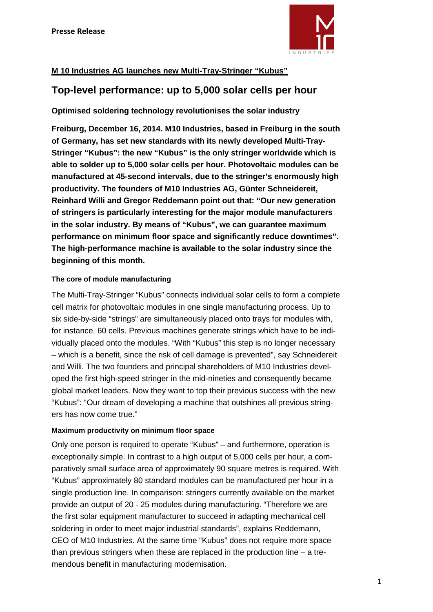

# **M 10 Industries AG launches new Multi-Tray-Stringer "Kubus"**

# **Top-level performance: up to 5,000 solar cells per hour**

**Optimised soldering technology revolutionises the solar industry**

**Freiburg, December 16, 2014. M10 Industries, based in Freiburg in the south of Germany, has set new standards with its newly developed Multi-Tray-Stringer "Kubus": the new "Kubus" is the only stringer worldwide which is able to solder up to 5,000 solar cells per hour. Photovoltaic modules can be manufactured at 45-second intervals, due to the stringer's enormously high productivity. The founders of M10 Industries AG, Günter Schneidereit, Reinhard Willi and Gregor Reddemann point out that: "Our new generation of stringers is particularly interesting for the major module manufacturers in the solar industry. By means of "Kubus", we can guarantee maximum performance on minimum floor space and significantly reduce downtimes". The high-performance machine is available to the solar industry since the beginning of this month.**

# **The core of module manufacturing**

The Multi-Tray-Stringer "Kubus" connects individual solar cells to form a complete cell matrix for photovoltaic modules in one single manufacturing process. Up to six side-by-side "strings" are simultaneously placed onto trays for modules with, for instance, 60 cells. Previous machines generate strings which have to be individually placed onto the modules. "With "Kubus" this step is no longer necessary – which is a benefit, since the risk of cell damage is prevented", say Schneidereit and Willi. The two founders and principal shareholders of M10 Industries developed the first high-speed stringer in the mid-nineties and consequently became global market leaders. Now they want to top their previous success with the new "Kubus": "Our dream of developing a machine that outshines all previous stringers has now come true."

# **Maximum productivity on minimum floor space**

Only one person is required to operate "Kubus" – and furthermore, operation is exceptionally simple. In contrast to a high output of 5,000 cells per hour, a comparatively small surface area of approximately 90 square metres is required. With "Kubus" approximately 80 standard modules can be manufactured per hour in a single production line. In comparison: stringers currently available on the market provide an output of 20 - 25 modules during manufacturing. "Therefore we are the first solar equipment manufacturer to succeed in adapting mechanical cell soldering in order to meet major industrial standards", explains Reddemann, CEO of M10 Industries. At the same time "Kubus" does not require more space than previous stringers when these are replaced in the production line – a tremendous benefit in manufacturing modernisation.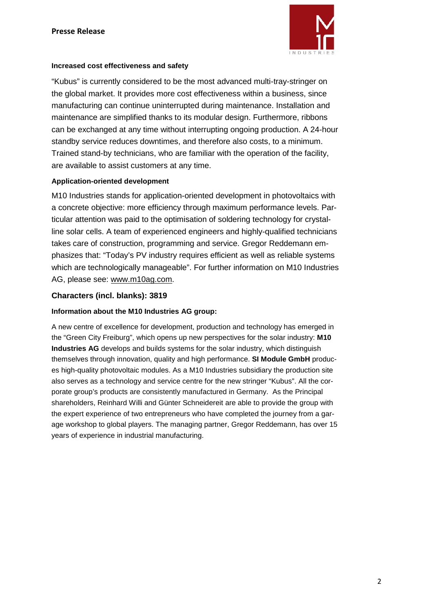

## **Increased cost effectiveness and safety**

"Kubus" is currently considered to be the most advanced multi-tray-stringer on the global market. It provides more cost effectiveness within a business, since manufacturing can continue uninterrupted during maintenance. Installation and maintenance are simplified thanks to its modular design. Furthermore, ribbons can be exchanged at any time without interrupting ongoing production. A 24-hour standby service reduces downtimes, and therefore also costs, to a minimum. Trained stand-by technicians, who are familiar with the operation of the facility, are available to assist customers at any time.

### **Application-oriented development**

M10 Industries stands for application-oriented development in photovoltaics with a concrete objective: more efficiency through maximum performance levels. Particular attention was paid to the optimisation of soldering technology for crystalline solar cells. A team of experienced engineers and highly-qualified technicians takes care of construction, programming and service. Gregor Reddemann emphasizes that: "Today's PV industry requires efficient as well as reliable systems which are technologically manageable". For further information on M10 Industries AG, please see: [www.m10ag.com.](http://www.m10ag.com/)

## **Characters (incl. blanks): 3819**

## **Information about the M10 Industries AG group:**

A new centre of excellence for development, production and technology has emerged in the "Green City Freiburg", which opens up new perspectives for the solar industry: **M10 Industries AG** develops and builds systems for the solar industry, which distinguish themselves through innovation, quality and high performance. **SI Module GmbH** produces high-quality photovoltaic modules. As a M10 Industries subsidiary the production site also serves as a technology and service centre for the new stringer "Kubus". All the corporate group's products are consistently manufactured in Germany. As the Principal shareholders, Reinhard Willi and Günter Schneidereit are able to provide the group with the expert experience of two entrepreneurs who have completed the journey from a garage workshop to global players. The managing partner, Gregor Reddemann, has over 15 years of experience in industrial manufacturing.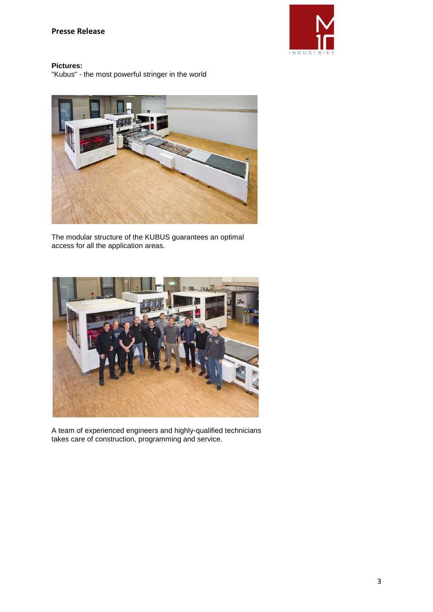

### **Pictures:**

"Kubus" - the most powerful stringer in the world



The modular structure of the KUBUS guarantees an optimal access for all the application areas.



A team of experienced engineers and highly-qualified technicians takes care of construction, programming and service.